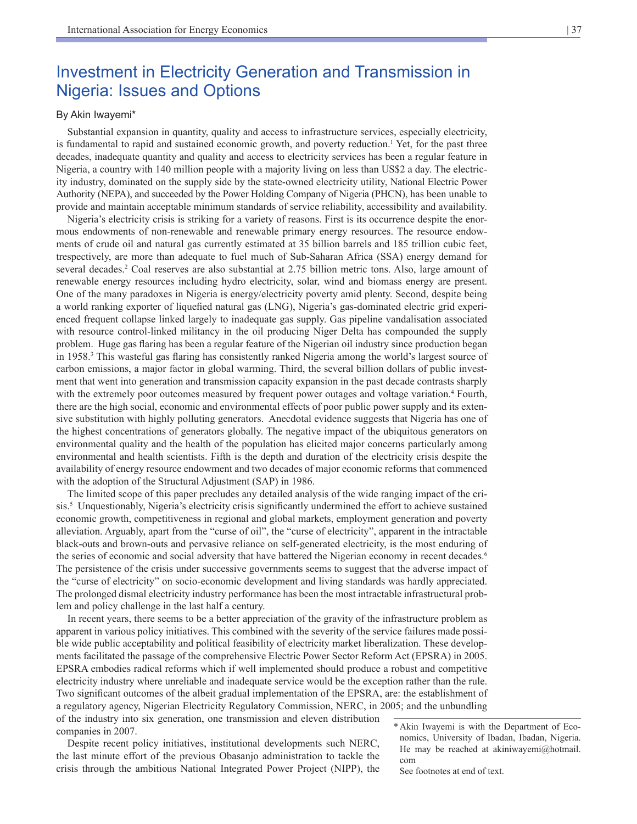## Investment in Electricity Generation and Transmission in Nigeria: Issues and Options

### By Akin Iwayemi\*

Substantial expansion in quantity, quality and access to infrastructure services, especially electricity, is fundamental to rapid and sustained economic growth, and poverty reduction.<sup>1</sup> Yet, for the past three decades, inadequate quantity and quality and access to electricity services has been a regular feature in Nigeria, a country with 140 million people with a majority living on less than US\$2 a day. The electricity industry, dominated on the supply side by the state-owned electricity utility, National Electric Power Authority (NEPA), and succeeded by the Power Holding Company of Nigeria (PHCN), has been unable to provide and maintain acceptable minimum standards of service reliability, accessibility and availability.

Nigeria's electricity crisis is striking for a variety of reasons. First is its occurrence despite the enormous endowments of non-renewable and renewable primary energy resources. The resource endowments of crude oil and natural gas currently estimated at 35 billion barrels and 185 trillion cubic feet, trespectively, are more than adequate to fuel much of Sub-Saharan Africa (SSA) energy demand for several decades.<sup>2</sup> Coal reserves are also substantial at 2.75 billion metric tons. Also, large amount of renewable energy resources including hydro electricity, solar, wind and biomass energy are present. One of the many paradoxes in Nigeria is energy/electricity poverty amid plenty. Second, despite being a world ranking exporter of liquefied natural gas (LNG), Nigeria's gas-dominated electric grid experienced frequent collapse linked largely to inadequate gas supply. Gas pipeline vandalisation associated with resource control-linked militancy in the oil producing Niger Delta has compounded the supply problem. Huge gas flaring has been a regular feature of the Nigerian oil industry since production began in 1958.<sup>3</sup> This wasteful gas flaring has consistently ranked Nigeria among the world's largest source of carbon emissions, a major factor in global warming. Third, the several billion dollars of public investment that went into generation and transmission capacity expansion in the past decade contrasts sharply with the extremely poor outcomes measured by frequent power outages and voltage variation.<sup>4</sup> Fourth, there are the high social, economic and environmental effects of poor public power supply and its extensive substitution with highly polluting generators. Anecdotal evidence suggests that Nigeria has one of the highest concentrations of generators globally. The negative impact of the ubiquitous generators on environmental quality and the health of the population has elicited major concerns particularly among environmental and health scientists. Fifth is the depth and duration of the electricity crisis despite the availability of energy resource endowment and two decades of major economic reforms that commenced with the adoption of the Structural Adjustment (SAP) in 1986.

The limited scope of this paper precludes any detailed analysis of the wide ranging impact of the crisis.<sup>5</sup> Unquestionably, Nigeria's electricity crisis significantly undermined the effort to achieve sustained economic growth, competitiveness in regional and global markets, employment generation and poverty alleviation. Arguably, apart from the "curse of oil", the "curse of electricity", apparent in the intractable black-outs and brown-outs and pervasive reliance on self-generated electricity, is the most enduring of the series of economic and social adversity that have battered the Nigerian economy in recent decades.<sup>6</sup> The persistence of the crisis under successive governments seems to suggest that the adverse impact of the "curse of electricity" on socio-economic development and living standards was hardly appreciated. The prolonged dismal electricity industry performance has been the most intractable infrastructural problem and policy challenge in the last half a century.

In recent years, there seems to be a better appreciation of the gravity of the infrastructure problem as apparent in various policy initiatives. This combined with the severity of the service failures made possible wide public acceptability and political feasibility of electricity market liberalization. These developments facilitated the passage of the comprehensive Electric Power Sector Reform Act (EPSRA) in 2005. EPSRA embodies radical reforms which if well implemented should produce a robust and competitive electricity industry where unreliable and inadequate service would be the exception rather than the rule. Two significant outcomes of the albeit gradual implementation of the EPSRA, are: the establishment of a regulatory agency, Nigerian Electricity Regulatory Commission, NERC, in 2005; and the unbundling of the industry into six generation, one transmission and eleven distribution companies in 2007.

Despite recent policy initiatives, institutional developments such NERC, the last minute effort of the previous Obasanjo administration to tackle the crisis through the ambitious National Integrated Power Project (NIPP), the

See footnotes at end of text.

<sup>\*</sup>Akin Iwayemi is with the Department of Economics, University of Ibadan, Ibadan, Nigeria. He may be reached at akiniwayemi@hotmail. com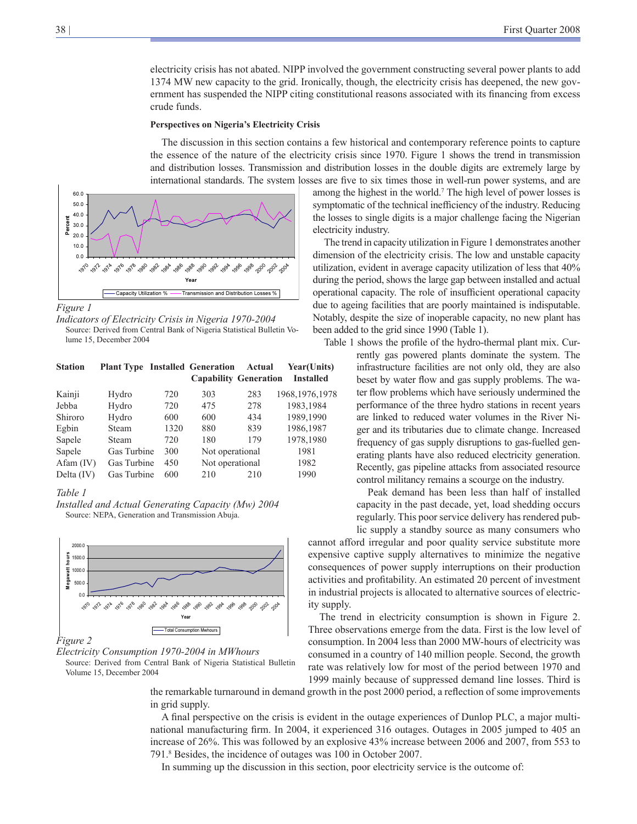electricity crisis has not abated. NIPP involved the government constructing several power plants to add 1374 MW new capacity to the grid. Ironically, though, the electricity crisis has deepened, the new government has suspended the NIPP citing constitutional reasons associated with its financing from excess crude funds.

#### **Perspectives on Nigeria's Electricity Crisis**

The discussion in this section contains a few historical and contemporary reference points to capture the essence of the nature of the electricity crisis since 1970. Figure 1 shows the trend in transmission and distribution losses. Transmission and distribution losses in the double digits are extremely large by international standards. The system losses are five to six times those in well-run power systems, and are



*Figure 1*

*Indicators of Electricity Crisis in Nigeria 1970-2004* Source: Derived from Central Bank of Nigeria Statistical Bulletin Volume 15, December 2004

| <b>Station</b> | <b>Plant Type Installed Generation</b> |      |                              | Actual | Year(Units)      |
|----------------|----------------------------------------|------|------------------------------|--------|------------------|
|                |                                        |      | <b>Capability Generation</b> |        | <b>Installed</b> |
| Kainji         | Hydro                                  | 720  | 303                          | 283    | 1968, 1976, 1978 |
| Jebba          | Hydro                                  | 720  | 475                          | 278    | 1983,1984        |
| Shiroro        | Hydro                                  | 600  | 600                          | 434    | 1989,1990        |
| Egbin          | Steam                                  | 1320 | 880                          | 839    | 1986,1987        |
| Sapele         | Steam                                  | 720  | 180                          | 179    | 1978,1980        |
| Sapele         | Gas Turbine                            | 300  | Not operational              |        | 1981             |
| $Afam$ (IV)    | Gas Turbine                            | 450  | Not operational              |        | 1982             |
| Delta $(IV)$   | Gas Turbine                            | 600  | 210                          | 210    | 1990             |

#### *Table 1*

*Installed and Actual Generating Capacity (Mw) 2004* Source: NEPA, Generation and Transmission Abuja.



### *Figure 2*

*Electricity Consumption 1970-2004 in MWhours* Source: Derived from Central Bank of Nigeria Statistical Bulletin Volume 15, December 2004

among the highest in the world.7 The high level of power losses is symptomatic of the technical inefficiency of the industry. Reducing the losses to single digits is a major challenge facing the Nigerian electricity industry.

The trend in capacity utilization in Figure 1 demonstrates another dimension of the electricity crisis. The low and unstable capacity utilization, evident in average capacity utilization of less that 40% during the period, shows the large gap between installed and actual operational capacity. The role of insufficient operational capacity due to ageing facilities that are poorly maintained is indisputable. Notably, despite the size of inoperable capacity, no new plant has been added to the grid since 1990 (Table 1).

Table 1 shows the profile of the hydro-thermal plant mix. Cur-

rently gas powered plants dominate the system. The infrastructure facilities are not only old, they are also beset by water flow and gas supply problems. The water flow problems which have seriously undermined the performance of the three hydro stations in recent years are linked to reduced water volumes in the River Niger and its tributaries due to climate change. Increased frequency of gas supply disruptions to gas-fuelled generating plants have also reduced electricity generation. Recently, gas pipeline attacks from associated resource control militancy remains a scourge on the industry.

Peak demand has been less than half of installed capacity in the past decade, yet, load shedding occurs regularly. This poor service delivery has rendered public supply a standby source as many consumers who

cannot afford irregular and poor quality service substitute more expensive captive supply alternatives to minimize the negative consequences of power supply interruptions on their production activities and profitability. An estimated 20 percent of investment in industrial projects is allocated to alternative sources of electricity supply.

The trend in electricity consumption is shown in Figure 2. Three observations emerge from the data. First is the low level of consumption. In 2004 less than 2000 MW-hours of electricity was consumed in a country of 140 million people. Second, the growth rate was relatively low for most of the period between 1970 and 1999 mainly because of suppressed demand line losses. Third is

the remarkable turnaround in demand growth in the post 2000 period, a reflection of some improvements in grid supply.

A final perspective on the crisis is evident in the outage experiences of Dunlop PLC, a major multinational manufacturing firm. In 2004, it experienced 316 outages. Outages in 2005 jumped to 405 an increase of 26%. This was followed by an explosive 43% increase between 2006 and 2007, from 553 to 791.8 Besides, the incidence of outages was 100 in October 2007.

In summing up the discussion in this section, poor electricity service is the outcome of: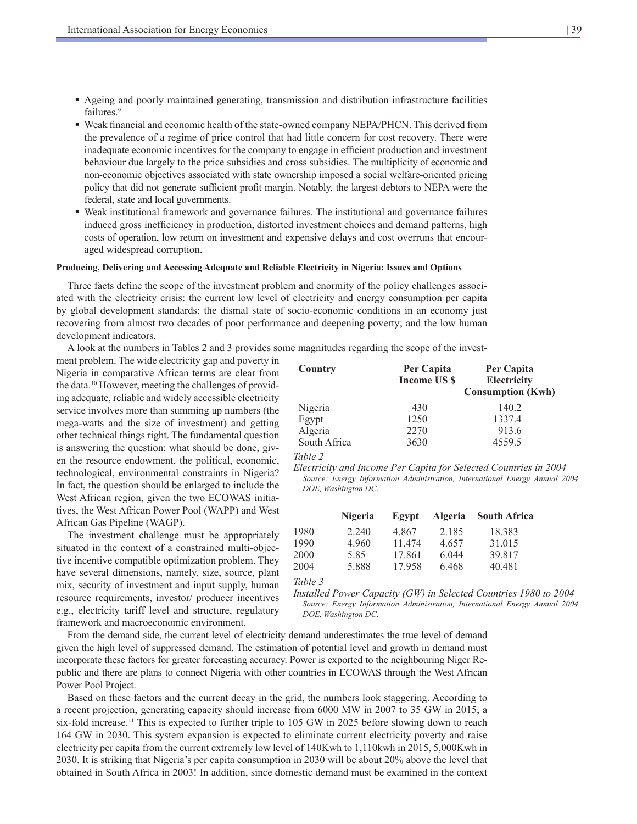- Ageing and poorly maintained generating, transmission and distribution infrastructure facilities failures.<sup>9</sup>
- Weak financial and economic health of the state-owned company NEPA/PHCN. This derived from the prevalence of a regime of price control that had little concern for cost recovery. There were inadequate economic incentives for the company to engage in efficient production and investment behaviour due largely to the price subsidies and cross subsidies. The multiplicity of economic and non-economic objectives associated with state ownership imposed a social welfare-oriented pricing policy that did not generate sufficient profit margin. Notably, the largest debtors to NEPA were the federal, state and local governments.
- Weak institutional framework and governance failures. The institutional and governance failures induced gross inefficiency in production, distorted investment choices and demand patterns, high costs of operation, low return on investment and expensive delays and cost overruns that encouraged widespread corruption.

#### **Producing, Delivering and Accessing Adequate and Reliable Electricity in Nigeria: Issues and Options**

Three facts define the scope of the investment problem and enormity of the policy challenges associated with the electricity crisis: the current low level of electricity and energy consumption per capita by global development standards; the dismal state of socio-economic conditions in an economy just recovering from almost two decades of poor performance and deepening poverty; and the low human development indicators.

A look at the numbers in Tables 2 and 3 provides some magnitudes regarding the scope of the invest-

ment problem. The wide electricity gap and poverty in Nigeria in comparative African terms are clear from the data.10 However, meeting the challenges of providing adequate, reliable and widely accessible electricity service involves more than summing up numbers (the mega-watts and the size of investment) and getting other technical things right. The fundamental question is answering the question: what should be done, given the resource endowment, the political, economic, technological, environmental constraints in Nigeria? In fact, the question should be enlarged to include the West African region, given the two ECOWAS initiatives, the West African Power Pool (WAPP) and West African Gas Pipeline (WAGP).

The investment challenge must be appropriately situated in the context of a constrained multi-objective incentive compatible optimization problem. They have several dimensions, namely, size, source, plant mix, security of investment and input supply, human resource requirements, investor/ producer incentives e.g., electricity tariff level and structure, regulatory framework and macroeconomic environment.

**Country Per Capita Per Capita Income US \$ Electricity Consumption (Kwh)** Nigeria 430 140.2 Egypt 1250 1337.4 Algeria 2270 913.6 South Africa 3630 4559.5

*Table 2* 

*Electricity and Income Per Capita for Selected Countries in 2004 Source: Energy Information Administration, International Energy Annual 2004. DOE, Washington DC*.

|      | <b>Nigeria</b> | Egypt  | <b>Algeria</b> | <b>South Africa</b> |
|------|----------------|--------|----------------|---------------------|
| 1980 | 2.240          | 4.867  | 2.185          | 18.383              |
| 1990 | 4.960          | 11 474 | 4.657          | 31.015              |
| 2000 | 585            | 17.861 | 6.044          | 39.817              |
| 2004 | 5.888          | 17.958 | 6.468          | 40.481              |
|      |                |        |                |                     |

*Table 3*

*Installed Power Capacity (GW) in Selected Countries 1980 to 2004*  Source: Energy Information Administration, International Energy Annual 2004. *DOE, Washington DC*.

From the demand side, the current level of electricity demand underestimates the true level of demand given the high level of suppressed demand. The estimation of potential level and growth in demand must incorporate these factors for greater forecasting accuracy. Power is exported to the neighbouring Niger Republic and there are plans to connect Nigeria with other countries in ECOWAS through the West African Power Pool Project.

Based on these factors and the current decay in the grid, the numbers look staggering. According to a recent projection, generating capacity should increase from 6000 MW in 2007 to 35 GW in 2015, a six-fold increase.<sup>11</sup> This is expected to further triple to 105 GW in 2025 before slowing down to reach 164 GW in 2030. This system expansion is expected to eliminate current electricity poverty and raise electricity per capita from the current extremely low level of 140Kwh to 1,110kwh in 2015, 5,000Kwh in 2030. It is striking that Nigeria's per capita consumption in 2030 will be about 20% above the level that obtained in South Africa in 2003! In addition, since domestic demand must be examined in the context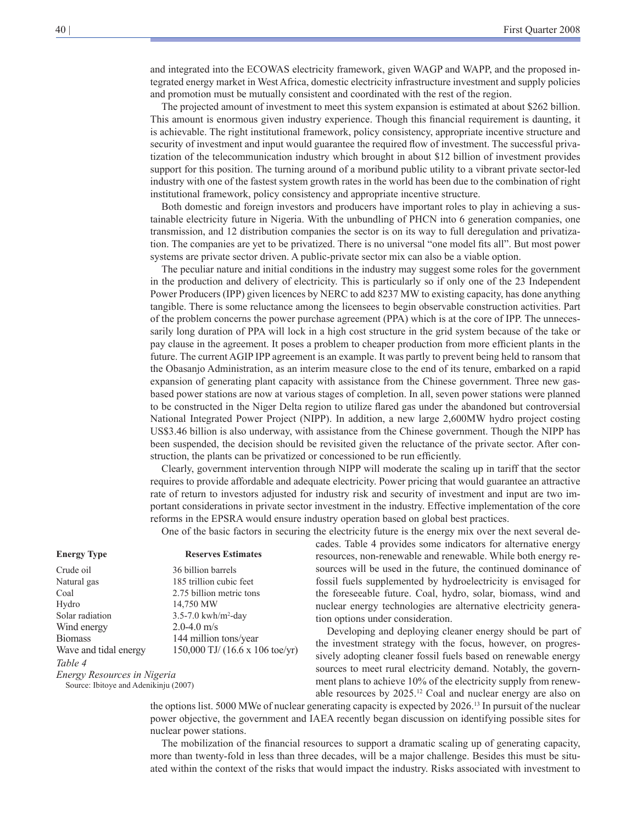and integrated into the ECOWAS electricity framework, given WAGP and WAPP, and the proposed integrated energy market in West Africa, domestic electricity infrastructure investment and supply policies and promotion must be mutually consistent and coordinated with the rest of the region.

The projected amount of investment to meet this system expansion is estimated at about \$262 billion. This amount is enormous given industry experience. Though this financial requirement is daunting, it is achievable. The right institutional framework, policy consistency, appropriate incentive structure and security of investment and input would guarantee the required flow of investment. The successful privatization of the telecommunication industry which brought in about \$12 billion of investment provides support for this position. The turning around of a moribund public utility to a vibrant private sector-led industry with one of the fastest system growth rates in the world has been due to the combination of right institutional framework, policy consistency and appropriate incentive structure.

Both domestic and foreign investors and producers have important roles to play in achieving a sustainable electricity future in Nigeria. With the unbundling of PHCN into 6 generation companies, one transmission, and 12 distribution companies the sector is on its way to full deregulation and privatization. The companies are yet to be privatized. There is no universal "one model fits all". But most power systems are private sector driven. A public-private sector mix can also be a viable option.

The peculiar nature and initial conditions in the industry may suggest some roles for the government in the production and delivery of electricity. This is particularly so if only one of the 23 Independent Power Producers (IPP) given licences by NERC to add 8237 MW to existing capacity, has done anything tangible. There is some reluctance among the licensees to begin observable construction activities. Part of the problem concerns the power purchase agreement (PPA) which is at the core of IPP. The unnecessarily long duration of PPA will lock in a high cost structure in the grid system because of the take or pay clause in the agreement. It poses a problem to cheaper production from more efficient plants in the future. The current AGIP IPP agreement is an example. It was partly to prevent being held to ransom that the Obasanjo Administration, as an interim measure close to the end of its tenure, embarked on a rapid expansion of generating plant capacity with assistance from the Chinese government. Three new gasbased power stations are now at various stages of completion. In all, seven power stations were planned to be constructed in the Niger Delta region to utilize flared gas under the abandoned but controversial National Integrated Power Project (NIPP). In addition, a new large 2,600MW hydro project costing US\$3.46 billion is also underway, with assistance from the Chinese government. Though the NIPP has been suspended, the decision should be revisited given the reluctance of the private sector. After construction, the plants can be privatized or concessioned to be run efficiently.

Clearly, government intervention through NIPP will moderate the scaling up in tariff that the sector requires to provide affordable and adequate electricity. Power pricing that would guarantee an attractive rate of return to investors adjusted for industry risk and security of investment and input are two important considerations in private sector investment in the industry. Effective implementation of the core reforms in the EPSRA would ensure industry operation based on global best practices.

One of the basic factors in securing the electricity future is the energy mix over the next several de-

cades. Table 4 provides some indicators for alternative energy resources, non-renewable and renewable. While both energy resources will be used in the future, the continued dominance of fossil fuels supplemented by hydroelectricity is envisaged for the foreseeable future. Coal, hydro, solar, biomass, wind and nuclear energy technologies are alternative electricity generation options under consideration.

Developing and deploying cleaner energy should be part of the investment strategy with the focus, however, on progressively adopting cleaner fossil fuels based on renewable energy sources to meet rural electricity demand. Notably, the government plans to achieve 10% of the electricity supply from renewable resources by 2025.12 Coal and nuclear energy are also on

the options list. 5000 MWe of nuclear generating capacity is expected by 2026.13 In pursuit of the nuclear power objective, the government and IAEA recently began discussion on identifying possible sites for nuclear power stations.

The mobilization of the financial resources to support a dramatic scaling up of generating capacity, more than twenty-fold in less than three decades, will be a major challenge. Besides this must be situated within the context of the risks that would impact the industry. Risks associated with investment to

#### **Energy Type Reserves Estimates**

Crude oil 36 billion barrels Natural gas 185 trillion cubic feet Coal 2.75 billion metric tons Hydro 14,750 MW Solar radiation 3.5-7.0 kwh/m<sup>2</sup>-day Wind energy 2.0-4.0 m/s Biomass 144 million tons/year Wave and tidal energy 150,000 TJ/ (16.6 x 106 toe/yr) *Table 4 Energy Resources in Nigeria* Source: Ibitoye and Adenikinju (2007)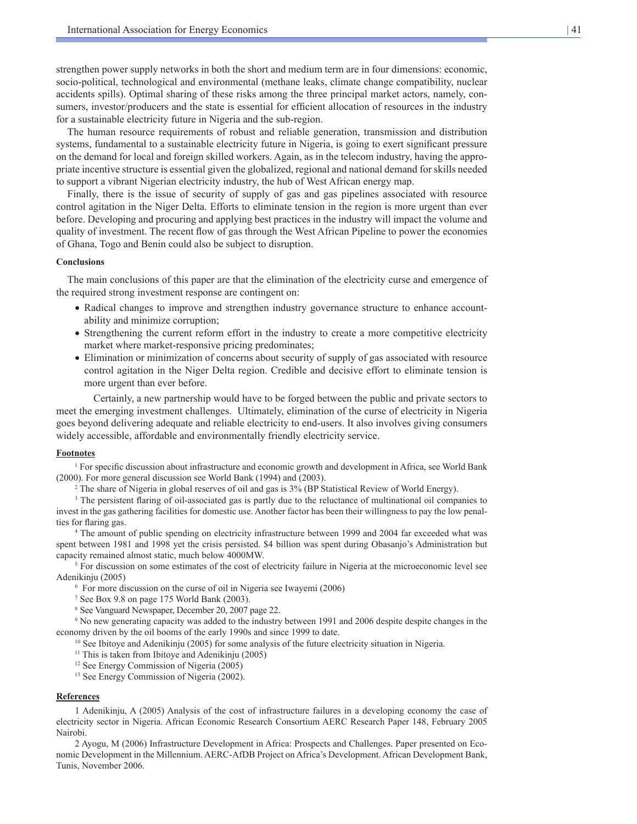strengthen power supply networks in both the short and medium term are in four dimensions: economic, socio-political, technological and environmental (methane leaks, climate change compatibility, nuclear accidents spills). Optimal sharing of these risks among the three principal market actors, namely, consumers, investor/producers and the state is essential for efficient allocation of resources in the industry for a sustainable electricity future in Nigeria and the sub-region.

The human resource requirements of robust and reliable generation, transmission and distribution systems, fundamental to a sustainable electricity future in Nigeria, is going to exert significant pressure on the demand for local and foreign skilled workers. Again, as in the telecom industry, having the appropriate incentive structure is essential given the globalized, regional and national demand for skills needed to support a vibrant Nigerian electricity industry, the hub of West African energy map.

Finally, there is the issue of security of supply of gas and gas pipelines associated with resource control agitation in the Niger Delta. Efforts to eliminate tension in the region is more urgent than ever before. Developing and procuring and applying best practices in the industry will impact the volume and quality of investment. The recent flow of gas through the West African Pipeline to power the economies of Ghana, Togo and Benin could also be subject to disruption.

#### **Conclusions**

The main conclusions of this paper are that the elimination of the electricity curse and emergence of the required strong investment response are contingent on:

- Radical changes to improve and strengthen industry governance structure to enhance accountability and minimize corruption;
- Strengthening the current reform effort in the industry to create a more competitive electricity market where market-responsive pricing predominates;
- Elimination or minimization of concerns about security of supply of gas associated with resource control agitation in the Niger Delta region. Credible and decisive effort to eliminate tension is more urgent than ever before.

Certainly, a new partnership would have to be forged between the public and private sectors to meet the emerging investment challenges. Ultimately, elimination of the curse of electricity in Nigeria goes beyond delivering adequate and reliable electricity to end-users. It also involves giving consumers widely accessible, affordable and environmentally friendly electricity service.

#### **Footnotes**

<sup>1</sup> For specific discussion about infrastructure and economic growth and development in Africa, see World Bank (2000). For more general discussion see World Bank (1994) and (2003).

2 The share of Nigeria in global reserves of oil and gas is 3% (BP Statistical Review of World Energy).

<sup>3</sup> The persistent flaring of oil-associated gas is partly due to the reluctance of multinational oil companies to invest in the gas gathering facilities for domestic use. Another factor has been their willingness to pay the low penalties for flaring gas.

4 The amount of public spending on electricity infrastructure between 1999 and 2004 far exceeded what was spent between 1981 and 1998 yet the crisis persisted. \$4 billion was spent during Obasanjo's Administration but capacity remained almost static, much below 4000MW.

<sup>5</sup> For discussion on some estimates of the cost of electricity failure in Nigeria at the microeconomic level see Adenikinju (2005)

6 For more discussion on the curse of oil in Nigeria see Iwayemi (2006)

- 7 See Box 9.8 on page 175 World Bank (2003).
- 8 See Vanguard Newspaper, December 20, 2007 page 22.

9 No new generating capacity was added to the industry between 1991 and 2006 despite despite changes in the economy driven by the oil booms of the early 1990s and since 1999 to date.<br><sup>10</sup> See Ibitoye and Adenikinju (2005) for some analysis of the future electricity situation in Nigeria.

- $11$  This is taken from Ibitoye and Adenikinju (2005)
- 12 See Energy Commission of Nigeria (2005)
- <sup>13</sup> See Energy Commission of Nigeria (2002).

#### **References**

1 Adenikinju, A (2005) Analysis of the cost of infrastructure failures in a developing economy the case of electricity sector in Nigeria. African Economic Research Consortium AERC Research Paper 148, February 2005 Nairobi.

2 Ayogu, M (2006) Infrastructure Development in Africa: Prospects and Challenges. Paper presented on Economic Development in the Millennium. AERC-AfDB Project on Africa's Development. African Development Bank, Tunis, November 2006.